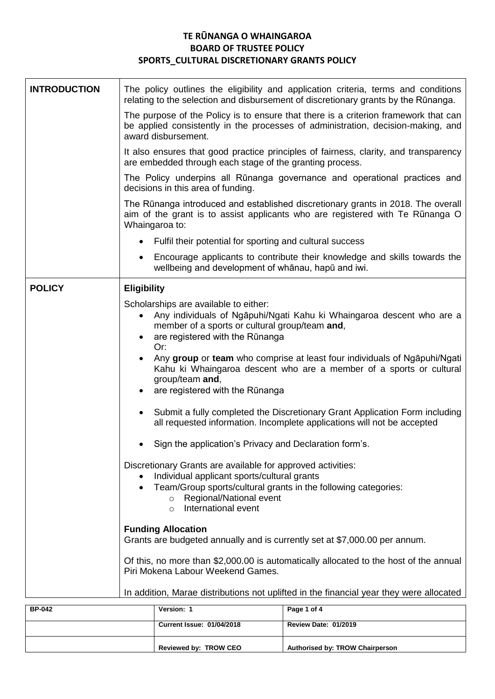## **TE RŪNANGA O WHAINGAROA BOARD OF TRUSTEE POLICY SPORTS\_CULTURAL DISCRETIONARY GRANTS POLICY**

| <b>INTRODUCTION</b> | The policy outlines the eligibility and application criteria, terms and conditions<br>relating to the selection and disbursement of discretionary grants by the Rūnanga.                                                                                                                               |  |  |
|---------------------|--------------------------------------------------------------------------------------------------------------------------------------------------------------------------------------------------------------------------------------------------------------------------------------------------------|--|--|
|                     | The purpose of the Policy is to ensure that there is a criterion framework that can<br>be applied consistently in the processes of administration, decision-making, and<br>award disbursement.                                                                                                         |  |  |
|                     | It also ensures that good practice principles of fairness, clarity, and transparency<br>are embedded through each stage of the granting process.                                                                                                                                                       |  |  |
|                     | The Policy underpins all Rūnanga governance and operational practices and<br>decisions in this area of funding.<br>The Rūnanga introduced and established discretionary grants in 2018. The overall<br>aim of the grant is to assist applicants who are registered with Te Rūnanga O<br>Whaingaroa to: |  |  |
|                     |                                                                                                                                                                                                                                                                                                        |  |  |
|                     | Fulfil their potential for sporting and cultural success                                                                                                                                                                                                                                               |  |  |
|                     | Encourage applicants to contribute their knowledge and skills towards the<br>wellbeing and development of whanau, hapu and iwi.                                                                                                                                                                        |  |  |
| <b>POLICY</b>       | <b>Eligibility</b>                                                                                                                                                                                                                                                                                     |  |  |
|                     | Scholarships are available to either:<br>Any individuals of Ngapuhi/Ngati Kahu ki Whaingaroa descent who are a<br>member of a sports or cultural group/team and,<br>are registered with the Rūnanga<br>Or:                                                                                             |  |  |
|                     | Any group or team who comprise at least four individuals of Ngapuhi/Ngati<br>Kahu ki Whaingaroa descent who are a member of a sports or cultural<br>group/team and,<br>are registered with the Rūnanga<br>$\bullet$                                                                                    |  |  |
|                     | Submit a fully completed the Discretionary Grant Application Form including<br>all requested information. Incomplete applications will not be accepted                                                                                                                                                 |  |  |
|                     | Sign the application's Privacy and Declaration form's.                                                                                                                                                                                                                                                 |  |  |
|                     | Discretionary Grants are available for approved activities:<br>Individual applicant sports/cultural grants<br>$\bullet$<br>Team/Group sports/cultural grants in the following categories:<br>$\bullet$<br>Regional/National event<br>$\circ$<br>International event<br>$\circ$                         |  |  |
|                     | <b>Funding Allocation</b><br>Grants are budgeted annually and is currently set at \$7,000.00 per annum.                                                                                                                                                                                                |  |  |
|                     | Of this, no more than \$2,000.00 is automatically allocated to the host of the annual<br>Piri Mokena Labour Weekend Games.                                                                                                                                                                             |  |  |
|                     | In addition, Marae distributions not uplifted in the financial year they were allocated                                                                                                                                                                                                                |  |  |

| <b>BP-042</b> | Version: 1                       | Page 1 of 4                     |
|---------------|----------------------------------|---------------------------------|
|               | <b>Current Issue: 01/04/2018</b> | <b>Review Date: 01/2019</b>     |
|               | Reviewed by: TROW CEO            | Authorised by: TROW Chairperson |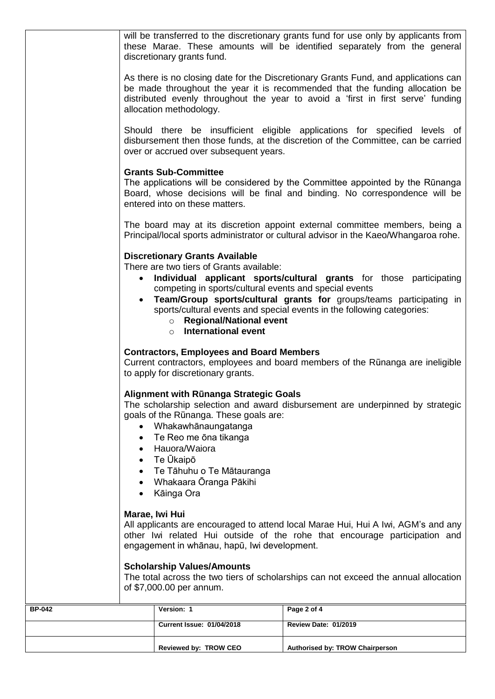| Version: 1                                                                                                                                                                                                                        | Page 2 of 4                                                                                                                                                                                                                                             |  |
|-----------------------------------------------------------------------------------------------------------------------------------------------------------------------------------------------------------------------------------|---------------------------------------------------------------------------------------------------------------------------------------------------------------------------------------------------------------------------------------------------------|--|
| <b>Scholarship Values/Amounts</b><br>The total across the two tiers of scholarships can not exceed the annual allocation<br>of \$7,000.00 per annum.                                                                              |                                                                                                                                                                                                                                                         |  |
| Marae, Iwi Hui<br>All applicants are encouraged to attend local Marae Hui, Hui A Iwi, AGM's and any<br>other Iwi related Hui outside of the rohe that encourage participation and<br>engagement in whānau, hapū, Iwi development. |                                                                                                                                                                                                                                                         |  |
| Hauora/Waiora<br>Te Ūkaipō<br>Te Tāhuhu o Te Mātauranga<br>Whakaara Ōranga Pākihi<br>Kāinga Ora                                                                                                                                   |                                                                                                                                                                                                                                                         |  |
| <b>Alignment with Rünanga Strategic Goals</b><br>goals of the Rūnanga. These goals are:<br>Whakawhānaungatanga<br>Te Reo me ōna tikanga                                                                                           | The scholarship selection and award disbursement are underpinned by strategic                                                                                                                                                                           |  |
| <b>Contractors, Employees and Board Members</b><br>to apply for discretionary grants.                                                                                                                                             | Current contractors, employees and board members of the Rūnanga are ineligible                                                                                                                                                                          |  |
| <b>Discretionary Grants Available</b><br>There are two tiers of Grants available:<br>competing in sports/cultural events and special events<br>$\bullet$<br>○ Regional/National event<br><b>International event</b><br>$\circ$    | Individual applicant sports/cultural grants for those participating<br>Team/Group sports/cultural grants for groups/teams participating in<br>sports/cultural events and special events in the following categories:                                    |  |
|                                                                                                                                                                                                                                   | The board may at its discretion appoint external committee members, being a<br>Principal/local sports administrator or cultural advisor in the Kaeo/Whangaroa rohe.                                                                                     |  |
| <b>Grants Sub-Committee</b><br>entered into on these matters.                                                                                                                                                                     | The applications will be considered by the Committee appointed by the Rūnanga<br>Board, whose decisions will be final and binding. No correspondence will be                                                                                            |  |
| over or accrued over subsequent years.                                                                                                                                                                                            | Should there be insufficient eligible applications for specified levels of<br>disbursement then those funds, at the discretion of the Committee, can be carried                                                                                         |  |
| allocation methodology.                                                                                                                                                                                                           | As there is no closing date for the Discretionary Grants Fund, and applications can<br>be made throughout the year it is recommended that the funding allocation be<br>distributed evenly throughout the year to avoid a 'first in first serve' funding |  |
| discretionary grants fund.                                                                                                                                                                                                        | will be transferred to the discretionary grants fund for use only by applicants from<br>these Marae. These amounts will be identified separately from the general                                                                                       |  |
|                                                                                                                                                                                                                                   |                                                                                                                                                                                                                                                         |  |

| <b>BP-042</b> | Version: 1                       | Page 2 of 4                            |
|---------------|----------------------------------|----------------------------------------|
|               | <b>Current Issue: 01/04/2018</b> | <b>Review Date: 01/2019</b>            |
|               | Reviewed by: TROW CEO            | <b>Authorised by: TROW Chairperson</b> |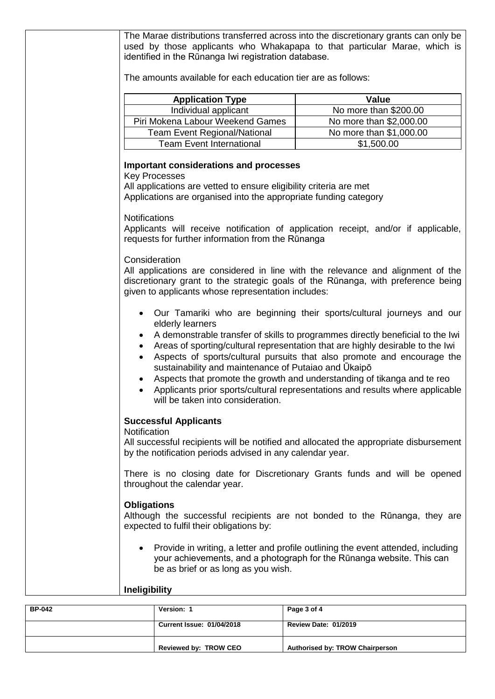|               | The Marae distributions transferred across into the discretionary grants can only be<br>used by those applicants who Whakapapa to that particular Marae, which is<br>identified in the Rūnanga Iwi registration database.<br>The amounts available for each education tier are as follows:                                                                                         |                                                                                                                                                                                                                                                                                                                       |
|---------------|------------------------------------------------------------------------------------------------------------------------------------------------------------------------------------------------------------------------------------------------------------------------------------------------------------------------------------------------------------------------------------|-----------------------------------------------------------------------------------------------------------------------------------------------------------------------------------------------------------------------------------------------------------------------------------------------------------------------|
|               |                                                                                                                                                                                                                                                                                                                                                                                    |                                                                                                                                                                                                                                                                                                                       |
|               | <b>Application Type</b>                                                                                                                                                                                                                                                                                                                                                            | <b>Value</b>                                                                                                                                                                                                                                                                                                          |
|               | Individual applicant                                                                                                                                                                                                                                                                                                                                                               | No more than \$200.00                                                                                                                                                                                                                                                                                                 |
|               | Piri Mokena Labour Weekend Games                                                                                                                                                                                                                                                                                                                                                   | No more than \$2,000.00                                                                                                                                                                                                                                                                                               |
|               | <b>Team Event Regional/National</b>                                                                                                                                                                                                                                                                                                                                                | No more than \$1,000.00                                                                                                                                                                                                                                                                                               |
|               | <b>Team Event International</b>                                                                                                                                                                                                                                                                                                                                                    | \$1,500.00                                                                                                                                                                                                                                                                                                            |
|               | <b>Important considerations and processes</b><br><b>Key Processes</b><br>All applications are vetted to ensure eligibility criteria are met<br>Applications are organised into the appropriate funding category<br><b>Notifications</b><br>Applicants will receive notification of application receipt, and/or if applicable,<br>requests for further information from the Rūnanga |                                                                                                                                                                                                                                                                                                                       |
|               | Consideration<br>All applications are considered in line with the relevance and alignment of the<br>discretionary grant to the strategic goals of the Rūnanga, with preference being<br>given to applicants whose representation includes:<br>elderly learners                                                                                                                     | Our Tamariki who are beginning their sports/cultural journeys and our<br>A demonstrable transfer of skills to programmes directly beneficial to the Iwi                                                                                                                                                               |
|               | sustainability and maintenance of Putaiao and Ukaipo<br>will be taken into consideration.                                                                                                                                                                                                                                                                                          | Areas of sporting/cultural representation that are highly desirable to the Iwi<br>Aspects of sports/cultural pursuits that also promote and encourage the<br>Aspects that promote the growth and understanding of tikanga and te reo<br>Applicants prior sports/cultural representations and results where applicable |
|               | <b>Successful Applicants</b>                                                                                                                                                                                                                                                                                                                                                       |                                                                                                                                                                                                                                                                                                                       |
|               | Notification<br>All successful recipients will be notified and allocated the appropriate disbursement<br>by the notification periods advised in any calendar year.                                                                                                                                                                                                                 |                                                                                                                                                                                                                                                                                                                       |
|               | There is no closing date for Discretionary Grants funds and will be opened<br>throughout the calendar year.                                                                                                                                                                                                                                                                        |                                                                                                                                                                                                                                                                                                                       |
|               | <b>Obligations</b><br>Although the successful recipients are not bonded to the Rūnanga, they are<br>expected to fulfil their obligations by:                                                                                                                                                                                                                                       |                                                                                                                                                                                                                                                                                                                       |
|               | be as brief or as long as you wish.                                                                                                                                                                                                                                                                                                                                                | Provide in writing, a letter and profile outlining the event attended, including<br>your achievements, and a photograph for the Rūnanga website. This can                                                                                                                                                             |
|               | <b>Ineligibility</b>                                                                                                                                                                                                                                                                                                                                                               |                                                                                                                                                                                                                                                                                                                       |
| <b>BP-042</b> | Version: 1                                                                                                                                                                                                                                                                                                                                                                         | Page 3 of 4                                                                                                                                                                                                                                                                                                           |

| <b>BP-042</b> | Version: 1                       | Page 3 of 4                     |
|---------------|----------------------------------|---------------------------------|
|               | <b>Current Issue: 01/04/2018</b> | <b>Review Date: 01/2019</b>     |
|               | Reviewed by: TROW CEO            | Authorised by: TROW Chairperson |